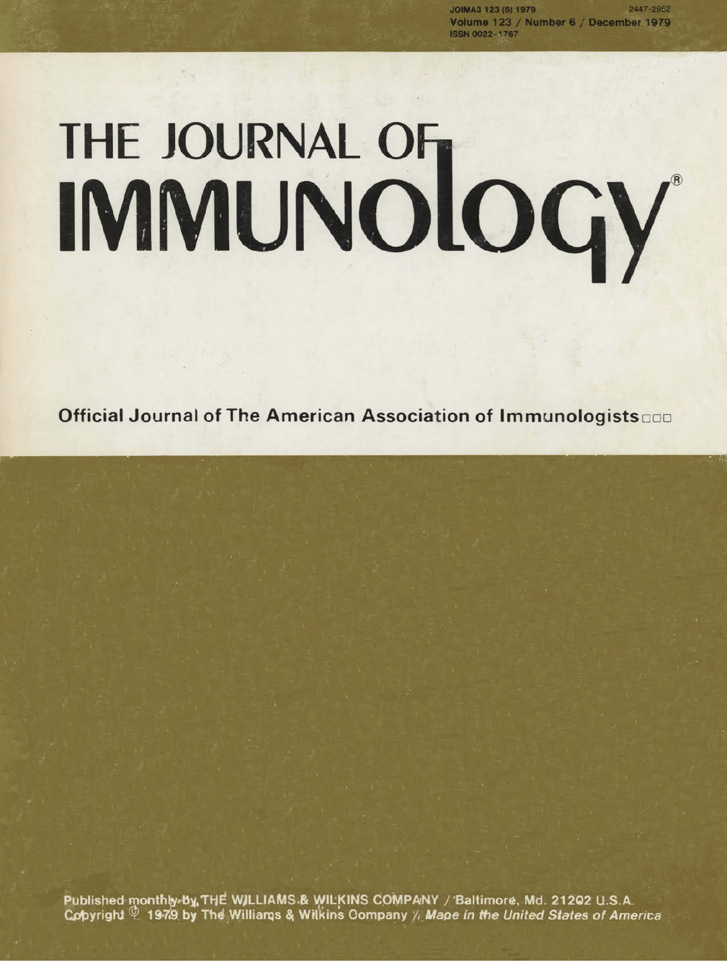2447-2952 JOIMA3 123 (6) 1979 Volume 123 / Number 6 / December 1979 **ISSN 0022-1767** 

# THE JOURNAL OF THE JOURNAL OF

Official Journal of The American Association of Immunologists

Published monthly by THE WILLIAMS & WILKINS COMPANY / Baltimore, Md. 21202 U.S.A.<br>Copyright <sup>@</sup> 1979 by The Williams & Wilkins Company / *Mape in the United States of America*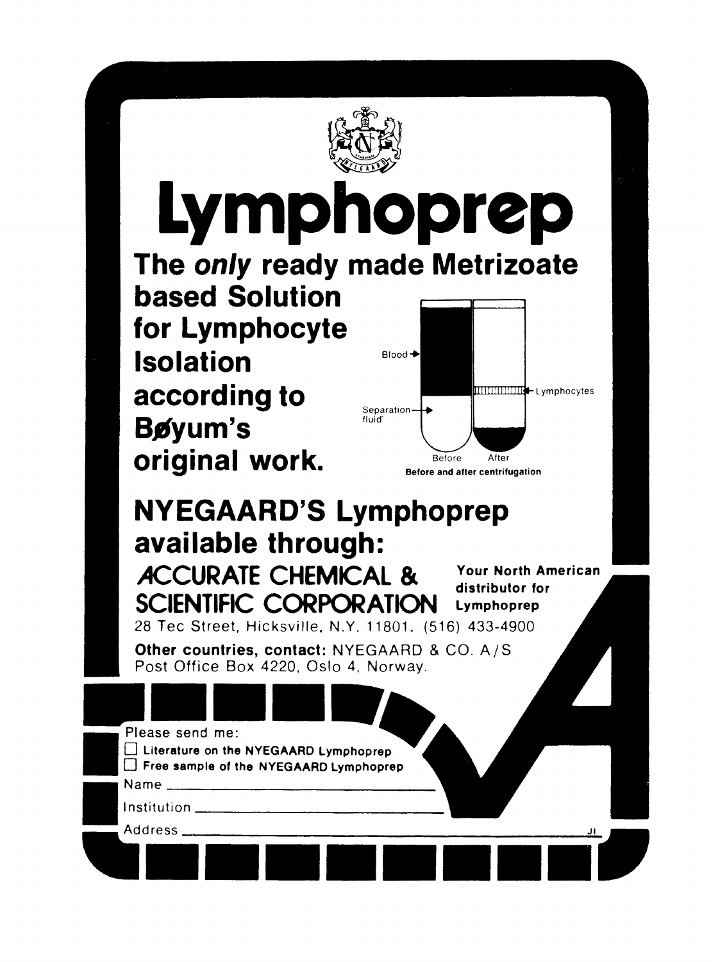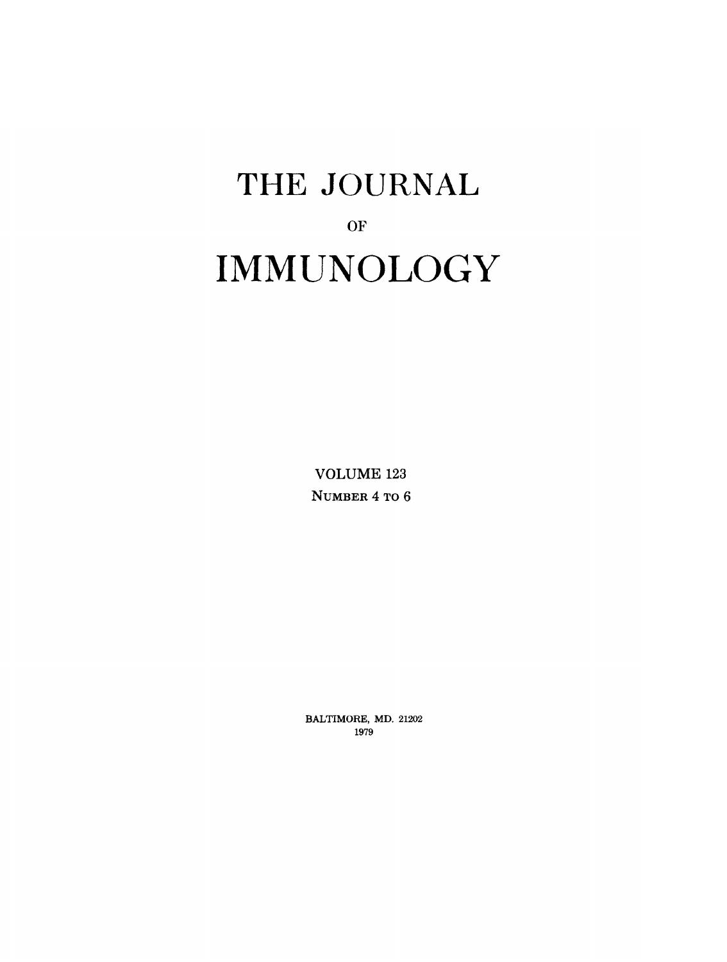# **THE JOURNAL**  OF **IMMUNOLOGY**

VOLUME 123 **NUMBER 4 TO 6** 

**BALTIMORE,** MD. 21202 1979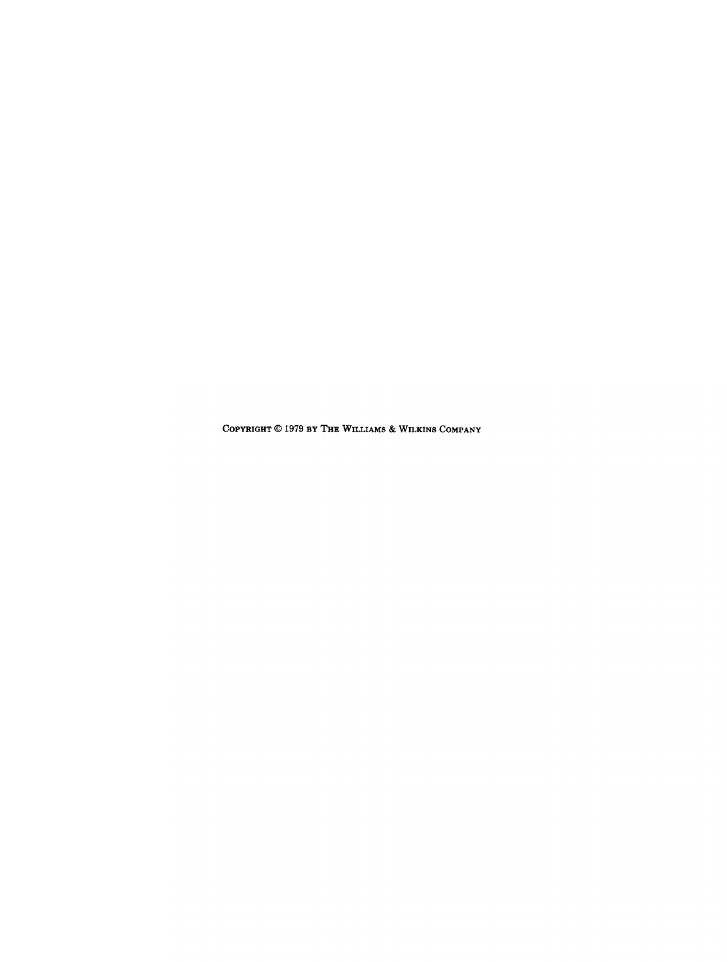COPYRIGHT  $@$  1979 BY THE WILLIAMS & WILKINS COMPANY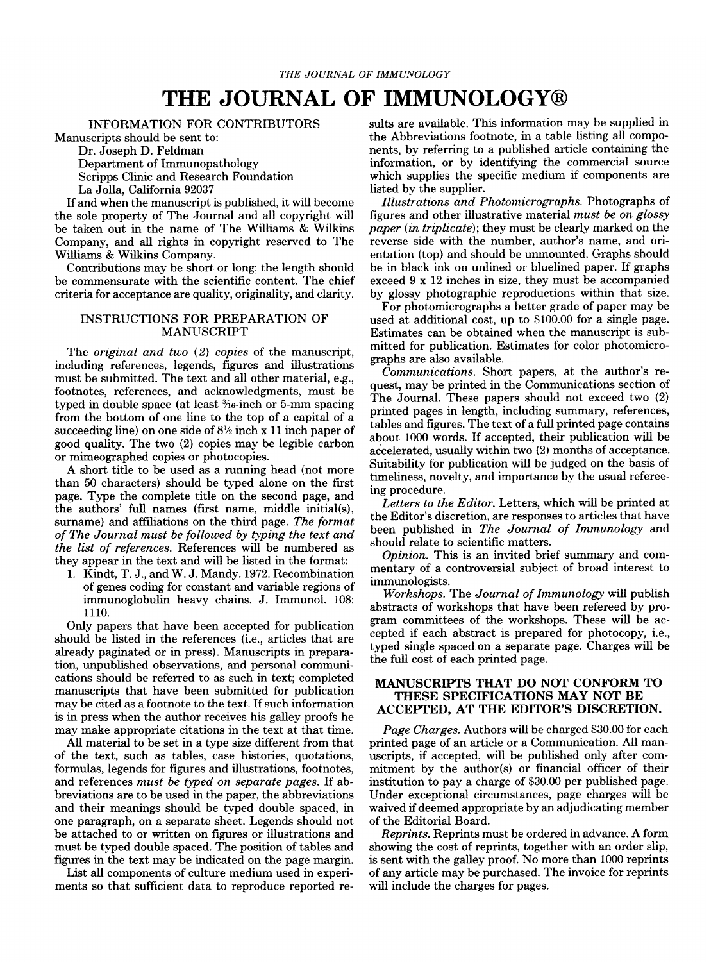# **THE JOURNAL OF IMMUNOLOGY@**

#### INFORMATION FOR CONTRIBUTORS

Manuscripts should be sent to:

Dr. Joseph D. Feldman Department of Immunopathology

Scripps Clinic and Research Foundation La Jolla, California 92037

If and when the manuscript is published, it will become the sole property of The Journal and all copyright will be taken out in the name of The Williams & Wilkins Company, and all rights in copyright reserved to The Williams & Wilkins Company.

Contributions may be short or long; the length should be commensurate with the scientific content. The chief criteria for acceptance are quality, originality, and clarity.

#### INSTRUCTIONS FOR PREPARATION OF MANUSCRIPT

The *original and two (2) copies* of the manuscript, including references, legends, figures and illustrations must be submitted. The text and all other material, e.g., footnotes, references, and acknowledgments, must be typed in double space (at least  $\frac{3}{6}$ -inch or 5-mm spacing from the bottom of one line to the top of a capital of a succeeding line) on one side of  $8\frac{1}{2}$  inch x 11 inch paper of good quality. The two (2) copies may be legible carbon or mimeographed copies or photocopies.

A short title to be used as a running head (not more than 50 characters) should be typed alone on the first page. Type the complete title on the second page, and the authors' full names (first name, middle initial(s), surname) and affiliations on the third page. *The format of The Journal must be followed by typing the text and the list of references.* References will be numbered as they appear in the text and will be listed in the format:

1. Kindt, T. J., and W. J. Mandy. 1972. Recombination of genes coding for constant and variable regions of immunoglobulin heavy chains. J. Immunol. 108: 1110.

Only papers that have been accepted for publication should be listed in the references (i.e., articles that are already paginated or in press). Manuscripts in preparation, unpublished observations, and personal communications should be referred to as such in text; completed manuscripts that have been submitted for publication may be cited as a footnote to the text. If such information is in press when the author receives his galley proofs he may make appropriate citations in the text at that time.

All material to be set in a type size different from that of the text, such as tables, case histories, quotations, formulas, legends for figures and illustrations, footnotes, and references *must be typed on separate pages.* If abbreviations are to be used in the paper, the abbreviations and their meanings should be typed double spaced, in one paragraph, on a separate sheet. Legends should not be attached to or written on figures or illustrations and must be typed double spaced. The position of tables and figures in the text may be indicated on the page margin.

List all components of culture medium used in experiments so that sufficient data to reproduce reported results are available. This information may be supplied in the Abbreviations footnote, in a table listing all components, by referring to a published article containing the information, or by identifying the commercial source which supplies the specific medium if components are listed by the supplier.

*Illustrations and Photomicrographs.* Photographs of figures and other illustrative material *must be on glossy paper (in triplicate);* they must be clearly marked on the reverse side with the number, author's name, and orientation (top) and should be unmounted. Graphs should be in black ink on unlined or bluelined paper. If graphs exceed 9 x 12 inches in size, they must be accompanied by glossy photographic reproductions within that size.

For photomicrographs a better grade of paper may be used at additional cost, up to \$100.00 for a single page. Estimates can be obtained when the manuscript is submitted for publication. Estimates for color photomicrographs are also available.

*Communications.* Short papers, at the author's request, may be printed in the Communications section of The Journal. These papers should not exceed two (2) printed pages in length, including summary, references, tables and figures. The text of a full printed page contains about 1000 words. If accepted, their publication will be accelerated, usually within two (2) months of acceptance. Suitability for publication will be judged on the basis of timeliness, novelty, and importance by the usual refereeing procedure.

*Letters to the Editor.* Letters, which will be printed at the Editor's discretion, are responses to articles that have been published in *The Journal of Immunology* and should relate to scientific matters.

*Opinion.* This is an invited brief summary and commentary of a controversial subject of broad interest to immunologists.

*Workshops.* The *Journal of Immunology will* publish abstracts of workshops that have been refereed by program committees of the workshops. These will be accepted if each abstract is prepared for photocopy, i.e., typed single spaced on a separate page. Charges will be the full cost of each printed page.

#### MANUSCRIPTS THAT DO NOT CONFORM TO THESE SPECIFICATIONS MAY NOT BE **ACCEPTED, AT THE EDITOR'S** DISCRETION.

*Page Charges.* Authors will be charged \$30.00 for each printed page of an article or a Communication. All manuscripts, if accepted, will be published only after commitment by the author(s) or financial officer of their institution to pay a charge of \$30.00 per published page. Under exceptional circumstances, page charges will be waived if deemed appropriate by an adjudicating member of the Editorial Board.

*Reprints.* Reprints must be ordered in advance. A form showing the cost of reprints, together with an order slip, is sent with the galley proof. No more than 1000 reprints of any article may be purchased. The invoice for reprints will include the charges for pages.